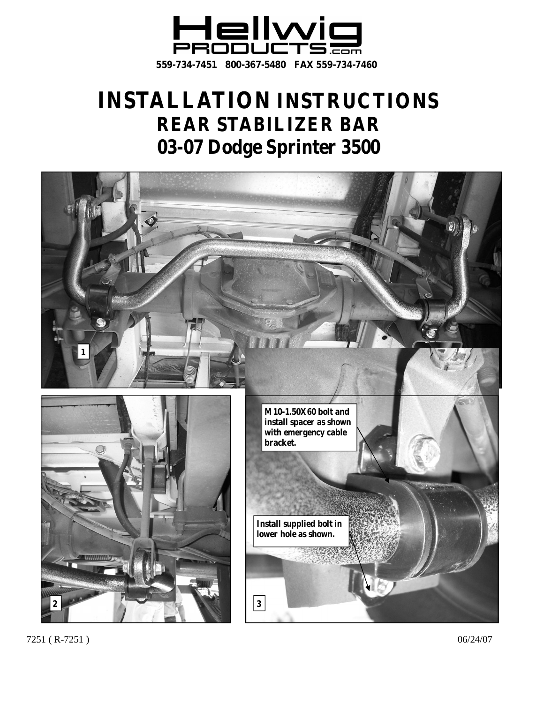

# **INSTALLATION INSTRUCTIONS REAR STABILIZER BAR 03-07 Dodge Sprinter 3500**